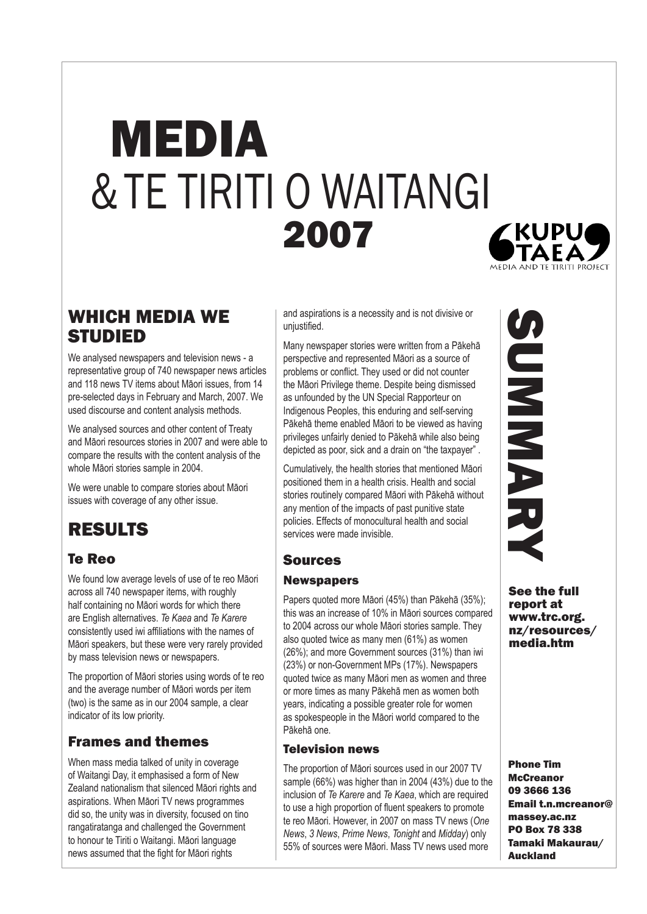# MEDIA & TE TIRITI O WAITANGI 2007



# Which media we **STUDIED**

We analysed newspapers and television news - a representative group of 740 newspaper news articles and 118 news TV items about Māori issues, from 14 pre-selected days in February and March, 2007. We used discourse and content analysis methods.

We analysed sources and other content of Treaty and Māori resources stories in 2007 and were able to compare the results with the content analysis of the whole Māori stories sample in 2004.

We were unable to compare stories about Māori issues with coverage of any other issue.

# **RESULTS**

## Te Reo

We found low average levels of use of te reo Māori across all 740 newspaper items, with roughly half containing no Māori words for which there are English alternatives. *Te Kaea* and *Te Karere*  consistently used iwi affiliations with the names of Māori speakers, but these were very rarely provided by mass television news or newspapers.

The proportion of Māori stories using words of te reo and the average number of Māori words per item (two) is the same as in our 2004 sample, a clear indicator of its low priority.

## Frames and themes

When mass media talked of unity in coverage of Waitangi Day, it emphasised a form of New Zealand nationalism that silenced Māori rights and aspirations. When Māori TV news programmes did so, the unity was in diversity, focused on tino rangatiratanga and challenged the Government to honour te Tiriti o Waitangi. Māori language news assumed that the fight for Māori rights

and aspirations is a necessity and is not divisive or unjustified.

Many newspaper stories were written from a Pākehā perspective and represented Māori as a source of problems or conflict. They used or did not counter the Māori Privilege theme. Despite being dismissed as unfounded by the UN Special Rapporteur on Indigenous Peoples, this enduring and self-serving Pākehā theme enabled Māori to be viewed as having privileges unfairly denied to Pākehā while also being depicted as poor, sick and a drain on "the taxpayer" .

Cumulatively, the health stories that mentioned Māori positioned them in a health crisis. Health and social stories routinely compared Māori with Pākehā without any mention of the impacts of past punitive state policies. Effects of monocultural health and social services were made invisible.

## Sources

#### **Newspapers**

Papers quoted more Māori (45%) than Pākehā (35%); this was an increase of 10% in Māori sources compared to 2004 across our whole Māori stories sample. They also quoted twice as many men (61%) as women (26%); and more Government sources (31%) than iwi (23%) or non-Government MPs (17%). Newspapers quoted twice as many Māori men as women and three or more times as many Pākehā men as women both years, indicating a possible greater role for women as spokespeople in the Māori world compared to the Pākehā one.

#### Television news

The proportion of Māori sources used in our 2007 TV sample (66%) was higher than in 2004 (43%) due to the inclusion of *Te Karere* and *Te Kaea*, which are required to use a high proportion of fluent speakers to promote te reo Māori. However, in 2007 on mass TV news (*One News*, *3 News*, *Prime News*, *Tonight* and *Midday*) only 55% of sources were Māori. Mass TV news used more

SUMMARY **SUMMARY** 

See the full report at www.trc.org. nz/resources/ media.htm

Phone Tim **McCreanor** 09 3666 136 Email t.n.mcreanor@ massey.ac.nz PO Box 78 338 Tamaki Makaurau/ Auckland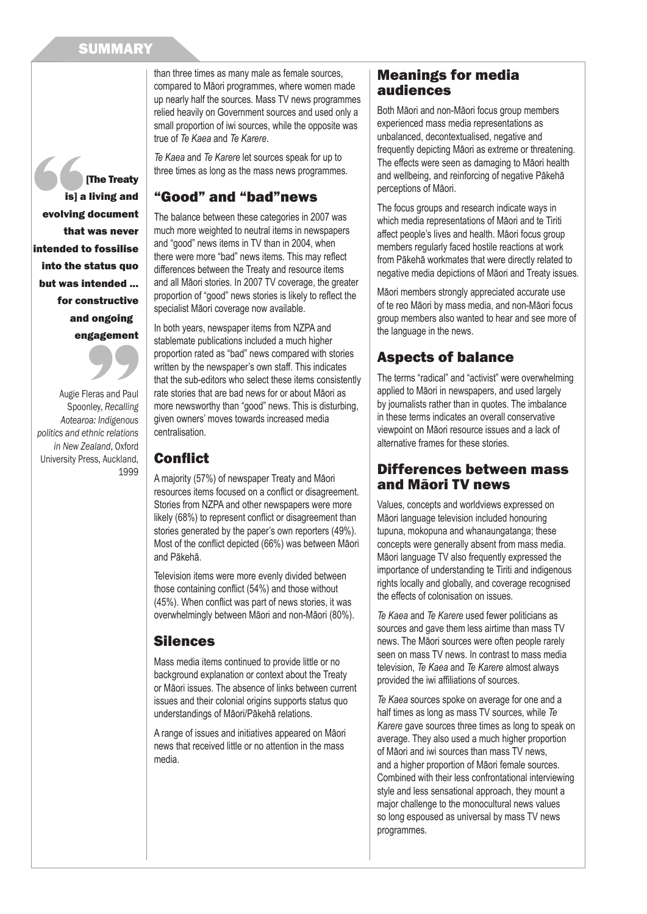than three times as many male as female sources, compared to Māori programmes, where women made up nearly half the sources. Mass TV news programmes relied heavily on Government sources and used only a small proportion of iwi sources, while the opposite was true of *Te Kaea* and *Te Karere*.

*Te Kaea* and *Te Karere* let sources speak for up to three times as long as the mass news programmes.

#### "Good" and "bad"news

The balance between these categories in 2007 was much more weighted to neutral items in newspapers and "good" news items in TV than in 2004, when there were more "bad" news items. This may reflect differences between the Treaty and resource items and all Māori stories. In 2007 TV coverage, the greater proportion of "good" news stories is likely to reflect the specialist Māori coverage now available.

In both years, newspaper items from NZPA and stablemate publications included a much higher proportion rated as "bad" news compared with stories written by the newspaper's own staff. This indicates that the sub-editors who select these items consistently rate stories that are bad news for or about Māori as more newsworthy than "good" news. This is disturbing, given owners' moves towards increased media centralisation.

#### **Conflict**

A majority (57%) of newspaper Treaty and Māori resources items focused on a conflict or disagreement. Stories from NZPA and other newspapers were more likely (68%) to represent conflict or disagreement than stories generated by the paper's own reporters (49%). Most of the conflict depicted (66%) was between Māori and Pākehā.

Television items were more evenly divided between those containing conflict (54%) and those without (45%). When conflict was part of news stories, it was overwhelmingly between Māori and non-Māori (80%).

#### Silences

Mass media items continued to provide little or no background explanation or context about the Treaty or Māori issues. The absence of links between current issues and their colonial origins supports status quo understandings of Māori/Pākehā relations.

A range of issues and initiatives appeared on Māori news that received little or no attention in the mass media.

#### Meanings for media audiences

Both Māori and non-Māori focus group members experienced mass media representations as unbalanced, decontextualised, negative and frequently depicting Māori as extreme or threatening. The effects were seen as damaging to Māori health and wellbeing, and reinforcing of negative Pākehā perceptions of Māori.

The focus groups and research indicate ways in which media representations of Māori and te Tiriti affect people's lives and health. Māori focus group members regularly faced hostile reactions at work from Pākehā workmates that were directly related to negative media depictions of Māori and Treaty issues.

Māori members strongly appreciated accurate use of te reo Māori by mass media, and non-Māori focus group members also wanted to hear and see more of the language in the news.

## Aspects of balance

The terms "radical" and "activist" were overwhelming applied to Māori in newspapers, and used largely by journalists rather than in quotes. The imbalance in these terms indicates an overall conservative viewpoint on Māori resource issues and a lack of alternative frames for these stories.

#### Differences between mass and Māori TV news

Values, concepts and worldviews expressed on Māori language television included honouring tupuna, mokopuna and whanaungatanga; these concepts were generally absent from mass media. Māori language TV also frequently expressed the importance of understanding te Tiriti and indigenous rights locally and globally, and coverage recognised the effects of colonisation on issues.

*Te Kaea* and *Te Karere* used fewer politicians as sources and gave them less airtime than mass TV news. The Māori sources were often people rarely seen on mass TV news. In contrast to mass media television, *Te Kaea* and *Te Karere* almost always provided the iwi affiliations of sources.

*Te Kaea* sources spoke on average for one and a half times as long as mass TV sources, while *Te Karere* gave sources three times as long to speak on average. They also used a much higher proportion of Māori and iwi sources than mass TV news, and a higher proportion of Māori female sources. Combined with their less confrontational interviewing style and less sensational approach, they mount a major challenge to the monocultural news values so long espoused as universal by mass TV news programmes.

**The Treaty** is] a living and evolving document that was never intended to fossilise into the status quo but was intended ... for constructive and ongoing engagement

Augie Fleras and Paul Spoonley, *Recalling Aotearoa: Indigenous politics and ethnic relations in New Zealand*, Oxford University Press, Auckland, 1999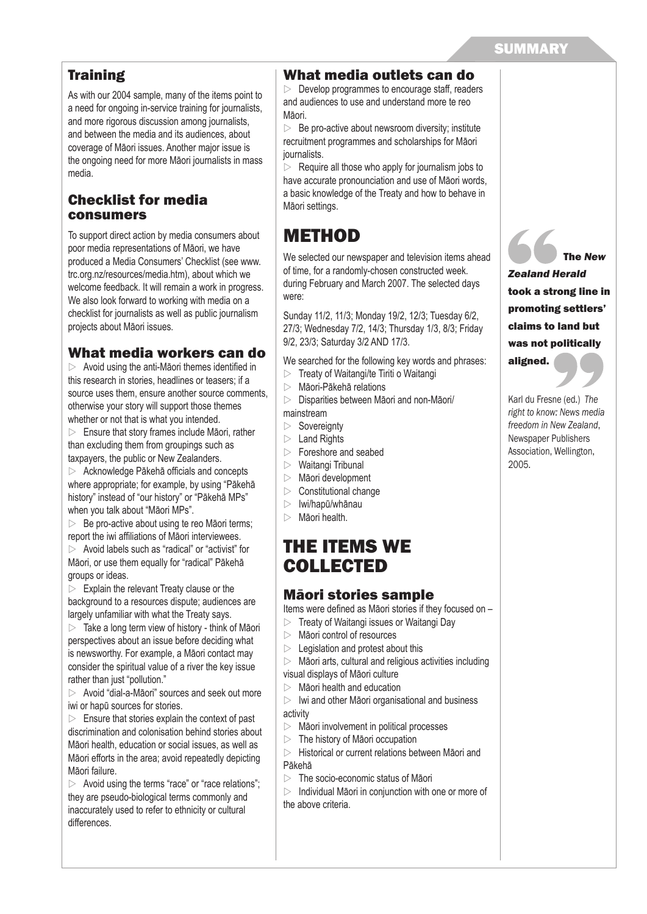## **Training**

As with our 2004 sample, many of the items point to a need for ongoing in-service training for journalists, and more rigorous discussion among journalists, and between the media and its audiences, about coverage of Māori issues. Another major issue is the ongoing need for more Māori journalists in mass media.

#### Checklist for media consumers

To support direct action by media consumers about poor media representations of Māori, we have produced a Media Consumers' Checklist (see www. trc.org.nz/resources/media.htm), about which we welcome feedback. It will remain a work in progress. We also look forward to working with media on a checklist for journalists as well as public journalism projects about Māori issues.

## What media workers can do

 $\triangleright$  Avoid using the anti-Māori themes identified in this research in stories, headlines or teasers; if a source uses them, ensure another source comments, otherwise your story will support those themes whether or not that is what you intended.

 $\triangleright$  Ensure that story frames include Māori, rather than excluding them from groupings such as taxpayers, the public or New Zealanders.

 $\triangleright$  Acknowledge Pākehā officials and concepts where appropriate; for example, by using "Pākehā history" instead of "our history" or "Pākehā MPs" when you talk about "Māori MPs".

 $\triangleright$  Be pro-active about using te reo Māori terms; report the iwi affiliations of Māori interviewees.

 $\triangleright$  Avoid labels such as "radical" or "activist" for Māori, or use them equally for "radical" Pākehā groups or ideas.

 $\triangleright$  Explain the relevant Treaty clause or the background to a resources dispute; audiences are largely unfamiliar with what the Treaty says.

 $\triangleright$  Take a long term view of history - think of Māori perspectives about an issue before deciding what is newsworthy. For example, a Māori contact may consider the spiritual value of a river the key issue rather than just "pollution."

 $\triangleright$  Avoid "dial-a-Māori" sources and seek out more iwi or hapū sources for stories.

 $\triangleright$  Ensure that stories explain the context of past discrimination and colonisation behind stories about Māori health, education or social issues, as well as Māori efforts in the area; avoid repeatedly depicting Māori failure.

 $\triangleright$  Avoid using the terms "race" or "race relations"; they are pseudo-biological terms commonly and inaccurately used to refer to ethnicity or cultural differences.

#### What media outlets can do

 $\triangleright$  Develop programmes to encourage staff, readers and audiences to use and understand more te reo Māori.

Be pro-active about newsroom diversity; institute recruitment programmes and scholarships for Māori journalists.  $\triangleright$ 

Require all those who apply for journalism jobs to have accurate pronounciation and use of Māori words, a basic knowledge of the Treaty and how to behave in Māori settings.  $\triangleright$ 

# **METHOD**

We selected our newspaper and television items ahead of time, for a randomly-chosen constructed week. during February and March 2007. The selected days were:

Sunday 11/2, 11/3; Monday 19/2, 12/3; Tuesday 6/2, 27/3; Wednesday 7/2, 14/3; Thursday 1/3, 8/3; Friday 9/2, 23/3; Saturday 3/2 AND 17/3.

We searched for the following key words and phrases:

- $\triangleright$  Treaty of Waitangi/te Tiriti o Waitangi
- $\triangleright$  Māori-Pākehā relations
- $\triangleright$  Disparities between Māori and non-Māori/

mainstream

- $\triangleright$  Sovereignty
- $\triangleright$  Land Rights
- $\triangleright$  Foreshore and seabed
- Waitangi Tribunal
- $\triangleright$  Māori development
- Constitutional change  $\triangleright$
- $\triangleright$  lwi/hapū/whānau
- $\triangleright$  Māori health.

# The items we **COLLECTED**

#### Māori stories sample

Items were defined as Māori stories if they focused on –

- $\triangleright$  Treaty of Waitangi issues or Waitangi Day
- $\triangleright$  Māori control of resources
- $\triangleright$  Legislation and protest about this
- $\triangleright$  Māori arts, cultural and religious activities including visual displays of Māori culture
- Māori health and education  $\sim$
- $\triangleright$  Iwi and other Māori organisational and business activity
- $\triangleright$  Māori involvement in political processes
- $\triangleright$  The history of Māori occupation
- $\triangleright$  Historical or current relations between Māori and Pākehā
- The socio-economic status of Māori  $\triangleright$
- $\triangleright$  Individual Māori in conjunction with one or more of the above criteria.

 The *New Zealand Herald*  took a strong line in promoting settlers' claims to land but was not politically aligned.

Karl du Fresne (ed.) *The right to know: News media freedom in New Zealand*, Newspaper Publishers Association, Wellington, 2005.